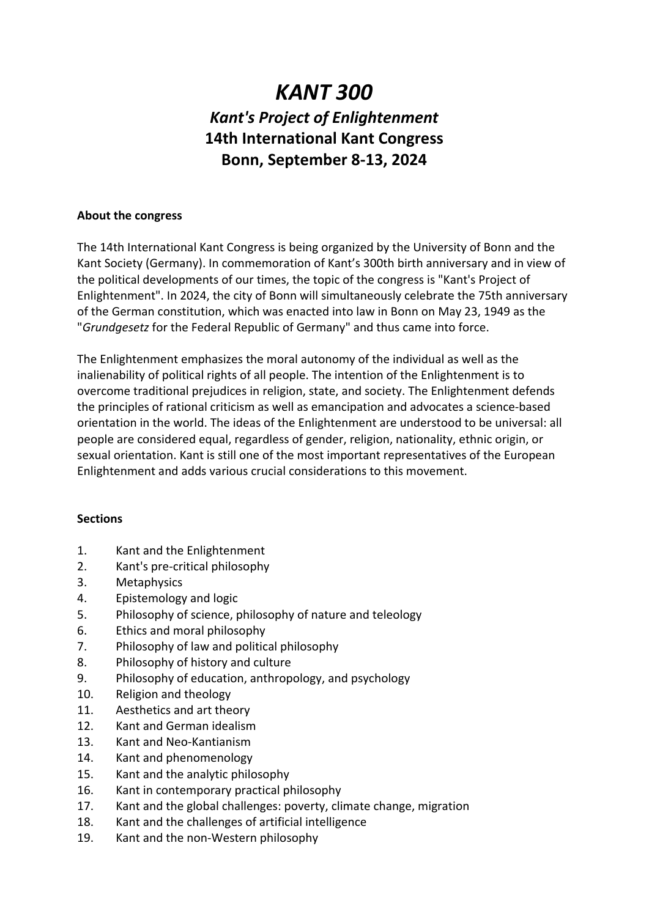# *KANT 300 Kant's Project of Enlightenment* **14th International Kant Congress Bonn, September 8-13, 2024**

#### **About the congress**

The 14th International Kant Congress is being organized by the University of Bonn and the Kant Society (Germany). In commemoration of Kant's 300th birth anniversary and in view of the political developments of our times, the topic of the congress is "Kant's Project of Enlightenment". In 2024, the city of Bonn will simultaneously celebrate the 75th anniversary of the German constitution, which was enacted into law in Bonn on May 23, 1949 as the "*Grundgesetz* for the Federal Republic of Germany" and thus came into force.

The Enlightenment emphasizes the moral autonomy of the individual as well as the inalienability of political rights of all people. The intention of the Enlightenment is to overcome traditional prejudices in religion, state, and society. The Enlightenment defends the principles of rational criticism as well as emancipation and advocates a science-based orientation in the world. The ideas of the Enlightenment are understood to be universal: all people are considered equal, regardless of gender, religion, nationality, ethnic origin, or sexual orientation. Kant is still one of the most important representatives of the European Enlightenment and adds various crucial considerations to this movement.

## **Sections**

- 1. Kant and the Enlightenment
- 2. Kant's pre-critical philosophy
- 3. Metaphysics
- 4. Epistemology and logic
- 5. Philosophy of science, philosophy of nature and teleology
- 6. Ethics and moral philosophy
- 7. Philosophy of law and political philosophy
- 8. Philosophy of history and culture
- 9. Philosophy of education, anthropology, and psychology
- 10. Religion and theology
- 11. Aesthetics and art theory
- 12. Kant and German idealism
- 13. Kant and Neo-Kantianism
- 14. Kant and phenomenology
- 15. Kant and the analytic philosophy
- 16. Kant in contemporary practical philosophy
- 17. Kant and the global challenges: poverty, climate change, migration
- 18. Kant and the challenges of artificial intelligence
- 19. Kant and the non-Western philosophy